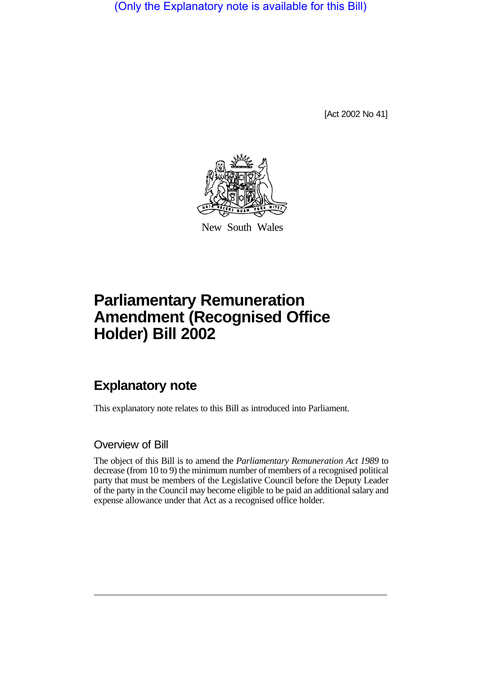(Only the Explanatory note is available for this Bill)

[Act 2002 No 41]



New South Wales

# **Parliamentary Remuneration Amendment (Recognised Office Holder) Bill 2002**

## **Explanatory note**

This explanatory note relates to this Bill as introduced into Parliament.

#### Overview of Bill

The object of this Bill is to amend the *Parliamentary Remuneration Act 1989* to decrease (from 10 to 9) the minimum number of members of a recognised political party that must be members of the Legislative Council before the Deputy Leader of the party in the Council may become eligible to be paid an additional salary and expense allowance under that Act as a recognised office holder.